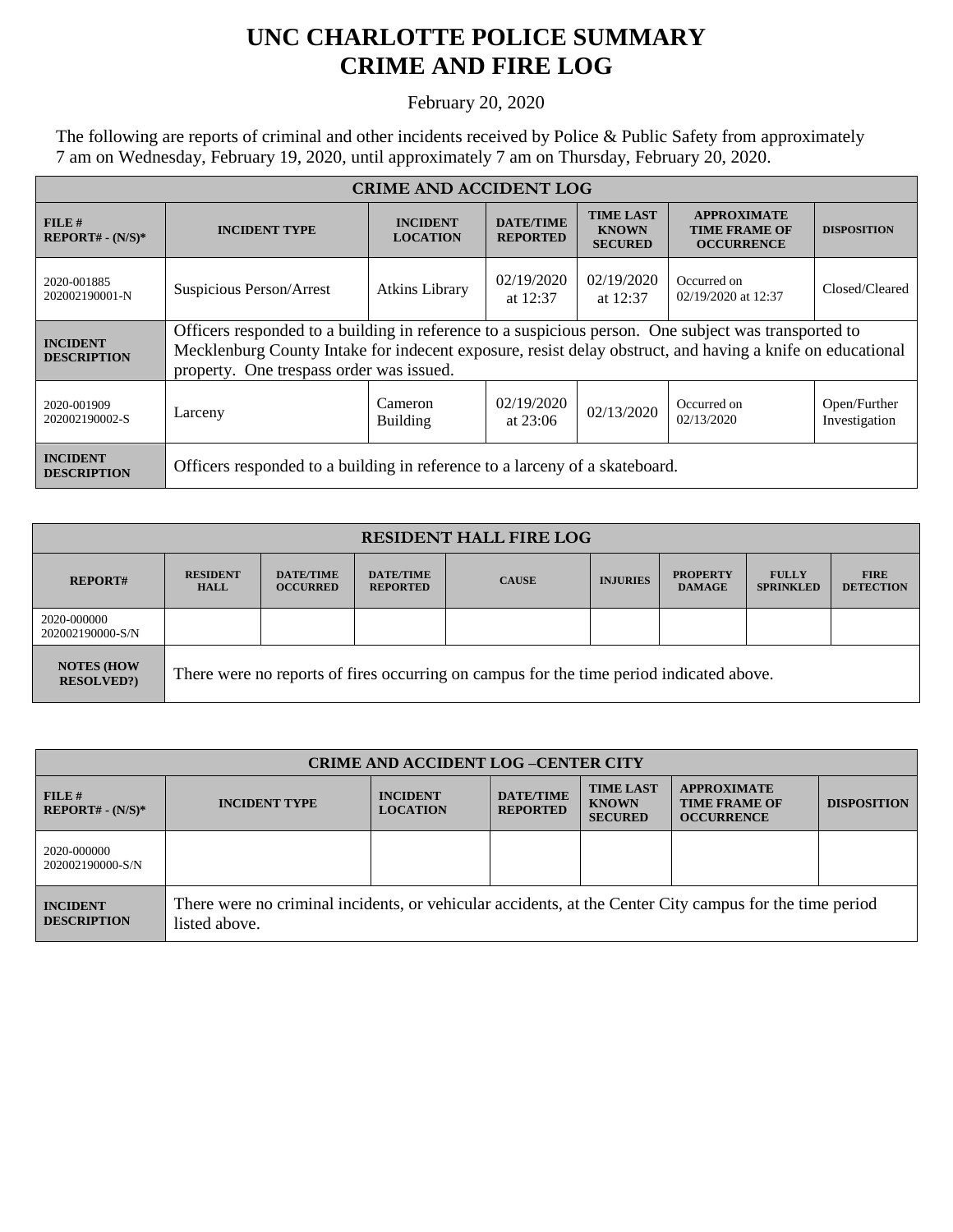## **UNC CHARLOTTE POLICE SUMMARY CRIME AND FIRE LOG**

February 20, 2020

The following are reports of criminal and other incidents received by Police & Public Safety from approximately 7 am on Wednesday, February 19, 2020, until approximately 7 am on Thursday, February 20, 2020.

| <b>CRIME AND ACCIDENT LOG</b>         |                                                                                                                                                                                                                                                               |                                    |                                     |                                                    |                                                                 |                               |  |
|---------------------------------------|---------------------------------------------------------------------------------------------------------------------------------------------------------------------------------------------------------------------------------------------------------------|------------------------------------|-------------------------------------|----------------------------------------------------|-----------------------------------------------------------------|-------------------------------|--|
| FILE#<br>$REPORT# - (N/S)*$           | <b>INCIDENT TYPE</b>                                                                                                                                                                                                                                          | <b>INCIDENT</b><br><b>LOCATION</b> | <b>DATE/TIME</b><br><b>REPORTED</b> | <b>TIME LAST</b><br><b>KNOWN</b><br><b>SECURED</b> | <b>APPROXIMATE</b><br><b>TIME FRAME OF</b><br><b>OCCURRENCE</b> | <b>DISPOSITION</b>            |  |
| 2020-001885<br>202002190001-N         | Suspicious Person/Arrest                                                                                                                                                                                                                                      | <b>Atkins Library</b>              | 02/19/2020<br>at $12:37$            | 02/19/2020<br>at $12:37$                           | Occurred on<br>02/19/2020 at 12:37                              | Closed/Cleared                |  |
| <b>INCIDENT</b><br><b>DESCRIPTION</b> | Officers responded to a building in reference to a suspicious person. One subject was transported to<br>Mecklenburg County Intake for indecent exposure, resist delay obstruct, and having a knife on educational<br>property. One trespass order was issued. |                                    |                                     |                                                    |                                                                 |                               |  |
| 2020-001909<br>202002190002-S         | Larceny                                                                                                                                                                                                                                                       | Cameron<br><b>Building</b>         | 02/19/2020<br>at $23:06$            | 02/13/2020                                         | Occurred on<br>02/13/2020                                       | Open/Further<br>Investigation |  |
| <b>INCIDENT</b><br><b>DESCRIPTION</b> | Officers responded to a building in reference to a larceny of a skateboard.                                                                                                                                                                                   |                                    |                                     |                                                    |                                                                 |                               |  |

| <b>RESIDENT HALL FIRE LOG</b>           |                                                                                         |                                     |                                     |              |                 |                                  |                                  |                                 |
|-----------------------------------------|-----------------------------------------------------------------------------------------|-------------------------------------|-------------------------------------|--------------|-----------------|----------------------------------|----------------------------------|---------------------------------|
| <b>REPORT#</b>                          | <b>RESIDENT</b><br><b>HALL</b>                                                          | <b>DATE/TIME</b><br><b>OCCURRED</b> | <b>DATE/TIME</b><br><b>REPORTED</b> | <b>CAUSE</b> | <b>INJURIES</b> | <b>PROPERTY</b><br><b>DAMAGE</b> | <b>FULLY</b><br><b>SPRINKLED</b> | <b>FIRE</b><br><b>DETECTION</b> |
| 2020-000000<br>202002190000-S/N         |                                                                                         |                                     |                                     |              |                 |                                  |                                  |                                 |
| <b>NOTES (HOW)</b><br><b>RESOLVED?)</b> | There were no reports of fires occurring on campus for the time period indicated above. |                                     |                                     |              |                 |                                  |                                  |                                 |

| <b>CRIME AND ACCIDENT LOG-CENTER CITY</b> |                                                                                                                          |                                    |                                     |                                                    |                                                                 |                    |
|-------------------------------------------|--------------------------------------------------------------------------------------------------------------------------|------------------------------------|-------------------------------------|----------------------------------------------------|-----------------------------------------------------------------|--------------------|
| FILE H<br>$REPORT# - (N/S)*$              | <b>INCIDENT TYPE</b>                                                                                                     | <b>INCIDENT</b><br><b>LOCATION</b> | <b>DATE/TIME</b><br><b>REPORTED</b> | <b>TIME LAST</b><br><b>KNOWN</b><br><b>SECURED</b> | <b>APPROXIMATE</b><br><b>TIME FRAME OF</b><br><b>OCCURRENCE</b> | <b>DISPOSITION</b> |
| 2020-000000<br>202002190000-S/N           |                                                                                                                          |                                    |                                     |                                                    |                                                                 |                    |
| <b>INCIDENT</b><br><b>DESCRIPTION</b>     | There were no criminal incidents, or vehicular accidents, at the Center City campus for the time period<br>listed above. |                                    |                                     |                                                    |                                                                 |                    |